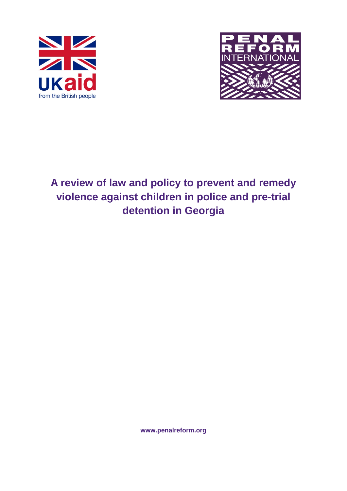



**A review of law and policy to prevent and remedy violence against children in police and pre-trial detention in Georgia**

<span id="page-0-0"></span>**www.penalreform.org**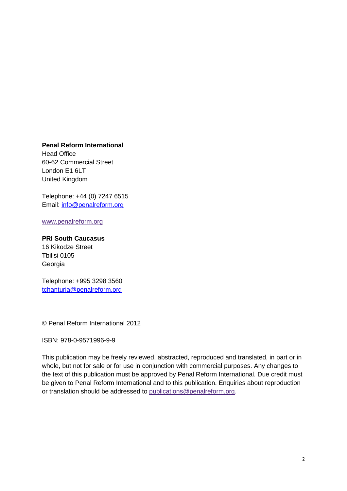**Penal Reform International**

Head Office 60-62 Commercial Street London E1 6LT United Kingdom

Telephone: +44 (0) 7247 6515 Email: [info@penalreform.org](mailto:info@penalreform.org)

[www.penalreform.org](http://www.penalreform.org/)

#### **PRI South Caucasus**

16 Kikodze Street Tbilisi 0105 Georgia

Telephone: +995 3298 3560 [tchanturia@penalreform.org](mailto:tchanturia@penalreform.org)

© Penal Reform International 2012

ISBN: 978-0-9571996-9-9

This publication may be freely reviewed, abstracted, reproduced and translated, in part or in whole, but not for sale or for use in conjunction with commercial purposes. Any changes to the text of this publication must be approved by Penal Reform International. Due credit must be given to Penal Reform International and to this publication. Enquiries about reproduction or translation should be addressed to [publications@penalreform.org.](mailto:publications@penalreform.org)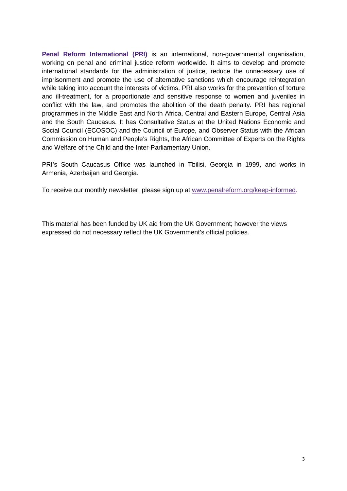**Penal Reform International (PRI)** is an international, non-governmental organisation, working on penal and criminal justice reform worldwide. It aims to develop and promote international standards for the administration of justice, reduce the unnecessary use of imprisonment and promote the use of alternative sanctions which encourage reintegration while taking into account the interests of victims. PRI also works for the prevention of torture and ill-treatment, for a proportionate and sensitive response to women and juveniles in conflict with the law, and promotes the abolition of the death penalty. PRI has regional programmes in the Middle East and North Africa, Central and Eastern Europe, Central Asia and the South Caucasus. It has Consultative Status at the United Nations Economic and Social Council (ECOSOC) and the Council of Europe, and Observer Status with the African Commission on Human and People's Rights, the African Committee of Experts on the Rights and Welfare of the Child and the Inter-Parliamentary Union.

PRI's South Caucasus Office was launched in Tbilisi, Georgia in 1999, and works in Armenia, Azerbaijan and Georgia.

To receive our monthly newsletter, please sign up at [www.penalreform.org/keep-informed.](http://www.penalreform.org/keep-informed)

This material has been funded by UK aid from the UK Government; however the views expressed do not necessary reflect the UK Government's official policies.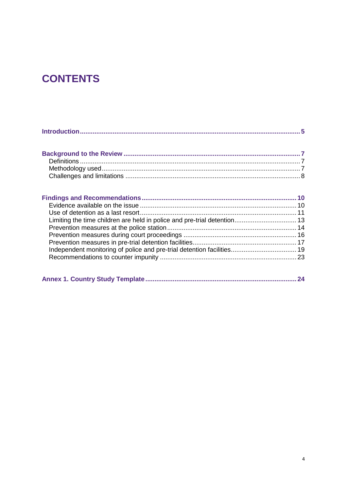# **CONTENTS**

|--|--|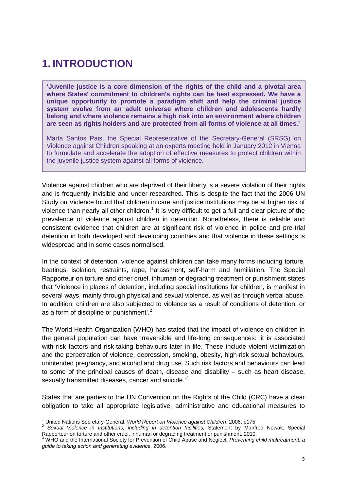# <span id="page-4-0"></span>**1. INTRODUCTION**

**'Juvenile justice is a core dimension of the rights of the child and a pivotal area where States' commitment to children's rights can be best expressed. We have a unique opportunity to promote a paradigm shift and help the criminal justice system evolve from an adult universe where children and adolescents hardly belong and where violence remains a high risk into an environment where children are seen as rights holders and are protected from all forms of violence at all times.'**

Marta Santos Pais, the Special Representative of the Secretary-General (SRSG) on Violence against Children speaking at an experts meeting held in January 2012 in Vienna to formulate and accelerate the adoption of effective measures to protect children within the juvenile justice system against all forms of violence.

Violence against children who are deprived of their liberty is a severe violation of their rights and is frequently invisible and under-researched. This is despite the fact that the 2006 UN Study on Violence found that children in care and justice institutions may be at higher risk of violence than nearly all other children.<sup>[1](#page-0-0)</sup> It is very difficult to get a full and clear picture of the prevalence of violence against children in detention. Nonetheless, there is reliable and consistent evidence that children are at significant risk of violence in police and pre-trial detention in both developed and developing countries and that violence in these settings is widespread and in some cases normalised.

In the context of detention, violence against children can take many forms including torture, beatings, isolation, restraints, rape, harassment, self-harm and humiliation. The Special Rapporteur on torture and other cruel, inhuman or degrading treatment or punishment states that 'Violence in places of detention, including special institutions for children, is manifest in several ways, mainly through physical and sexual violence, as well as through verbal abuse. In addition, children are also subjected to violence as a result of conditions of detention, or as a form of discipline or punishment'.<sup>[2](#page-4-1)</sup>

The World Health Organization (WHO) has stated that the impact of violence on children in the general population can have irreversible and life-long consequences: 'it is associated with risk factors and risk-taking behaviours later in life. These include violent victimization and the perpetration of violence, depression, smoking, obesity, high-risk sexual behaviours, unintended pregnancy, and alcohol and drug use. Such risk factors and behaviours can lead to some of the principal causes of death, disease and disability – such as heart disease, sexually transmitted diseases, cancer and suicide.<sup>[3](#page-4-2)</sup>

States that are parties to the UN Convention on the Rights of the Child (CRC) have a clear obligation to take all appropriate legislative, administrative and educational measures to

<span id="page-4-1"></span><sup>&</sup>lt;sup>1</sup> United Nations Secretary-General, *World Report on Violence against Children*, 2006, p175.<br><sup>2</sup> *Sexual Violence in Institutions, including in detention facilities, Statement by Manfred Nowak, Special* Rapporteur on torture and other cruel, inhuman or degrading treatment or punishment, 2010.<br><sup>3</sup> WHO and the International Society for Prevention of Child Abuse and Neglect, *Preventing child maltreatment: a* 

<span id="page-4-3"></span><span id="page-4-2"></span>*guide to taking action and generating evidence,* 2006.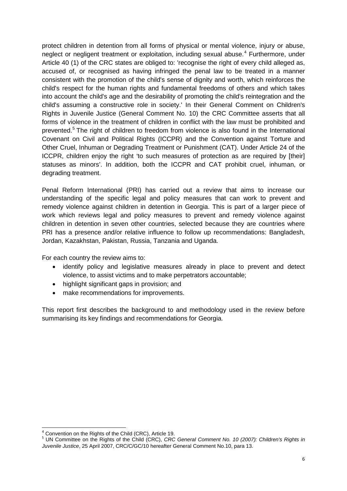protect children in detention from all forms of physical or mental violence, injury or abuse, neglect or negligent treatment or exploitation, including sexual abuse.<sup>[4](#page-4-3)</sup> Furthermore, under Article 40 (1) of the CRC states are obliged to: 'recognise the right of every child alleged as, accused of, or recognised as having infringed the penal law to be treated in a manner consistent with the promotion of the child's sense of dignity and worth, which reinforces the child's respect for the human rights and fundamental freedoms of others and which takes into account the child's age and the desirability of promoting the child's reintegration and the child's assuming a constructive role in society.' In their General Comment on Children's Rights in Juvenile Justice (General Comment No. 10) the CRC Committee asserts that all forms of violence in the treatment of children in conflict with the law must be prohibited and prevented.<sup>[5](#page-5-0)</sup> The right of children to freedom from violence is also found in the International Covenant on Civil and Political Rights (ICCPR) and the Convention against Torture and Other Cruel, Inhuman or Degrading Treatment or Punishment (CAT). Under Article 24 of the ICCPR, children enjoy the right 'to such measures of protection as are required by [their] statuses as minors'. In addition, both the ICCPR and CAT prohibit cruel, inhuman, or degrading treatment.

Penal Reform International (PRI) has carried out a review that aims to increase our understanding of the specific legal and policy measures that can work to prevent and remedy violence against children in detention in Georgia. This is part of a larger piece of work which reviews legal and policy measures to prevent and remedy violence against children in detention in seven other countries, selected because they are countries where PRI has a presence and/or relative influence to follow up recommendations: Bangladesh, Jordan, Kazakhstan, Pakistan, Russia, Tanzania and Uganda.

For each country the review aims to:

- identify policy and legislative measures already in place to prevent and detect violence, to assist victims and to make perpetrators accountable;
- highlight significant gaps in provision; and
- make recommendations for improvements.

This report first describes the background to and methodology used in the review before summarising its key findings and recommendations for Georgia.

<span id="page-5-1"></span><span id="page-5-0"></span><sup>&</sup>lt;sup>4</sup> Convention on the Rights of the Child (CRC), Article 19.<br><sup>5</sup> UN Committee on the Rights of the Child (CRC), *CRC General Comment No. 10 (2007): Children's Rights in Juvenile Justice*, 25 April 2007, CRC/C/GC/10 hereafter General Comment No.10, para 13.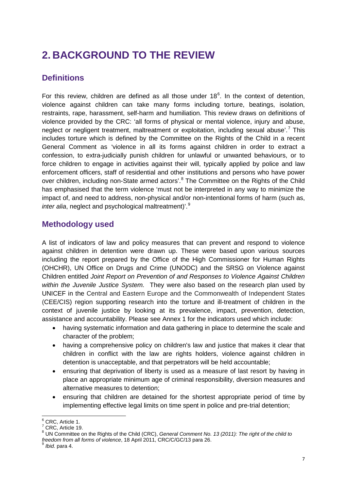# <span id="page-6-0"></span>**2. BACKGROUND TO THE REVIEW**

## <span id="page-6-1"></span>**Definitions**

For this review, children are defined as all those under  $18<sup>6</sup>$  $18<sup>6</sup>$  $18<sup>6</sup>$ . In the context of detention, violence against children can take many forms including torture, beatings, isolation, restraints, rape, harassment, self-harm and humiliation. This review draws on definitions of violence provided by the CRC: 'all forms of physical or mental violence, injury and abuse, neglect or negligent treatment, maltreatment or exploitation, including sexual abuse'.<sup>[7](#page-6-3)</sup> This includes torture which is defined by the Committee on the Rights of the Child in a recent General Comment as 'violence in all its forms against children in order to extract a confession, to extra-judicially punish children for unlawful or unwanted behaviours, or to force children to engage in activities against their will, typically applied by police and law enforcement officers, staff of residential and other institutions and persons who have power over children, including non-State armed actors'.<sup>[8](#page-6-4)</sup> The Committee on the Rights of the Child has emphasised that the term violence 'must not be interpreted in any way to minimize the impact of, and need to address, non-physical and/or non-intentional forms of harm (such as, *inter alia*, neglect and psychological maltreatment)'.[9](#page-6-5)

## <span id="page-6-2"></span>**Methodology used**

A list of indicators of law and policy measures that can prevent and respond to violence against children in detention were drawn up. These were based upon various sources including the report prepared by the Office of the High Commissioner for Human Rights (OHCHR), UN Office on Drugs and Crime (UNODC) and the SRSG on Violence against Children entitled *Joint Report on Prevention of and Responses to Violence Against Children within the Juvenile Justice System.* They were also based on the research plan used by UNICEF in the Central and Eastern Europe and the Commonwealth of Independent States (CEE/CIS) region supporting research into the torture and ill-treatment of children in the context of juvenile justice by looking at its prevalence, impact, prevention, detection, assistance and accountability. Please see Annex 1 for the indicators used which include:

- having systematic information and data gathering in place to determine the scale and character of the problem;
- having a comprehensive policy on children's law and justice that makes it clear that children in conflict with the law are rights holders, violence against children in detention is unacceptable, and that perpetrators will be held accountable;
- ensuring that deprivation of liberty is used as a measure of last resort by having in place an appropriate minimum age of criminal responsibility, diversion measures and alternative measures to detention;
- ensuring that children are detained for the shortest appropriate period of time by implementing effective legal limits on time spent in police and pre-trial detention;

<span id="page-6-4"></span>

<span id="page-6-6"></span><span id="page-6-3"></span><sup>&</sup>lt;sup>6</sup> CRC, Article 1.<br><sup>7</sup> CRC, Article 19.<br><sup>8</sup> UN Committee on the Rights of the Child (CRC), *General Comment No. 13 (2011): The right of the child to freedom from all forms of violence*, 18 April 2011, CRC/C/GC/13 para 26. <sup>9</sup> *Ibid.* para 4.

<span id="page-6-5"></span>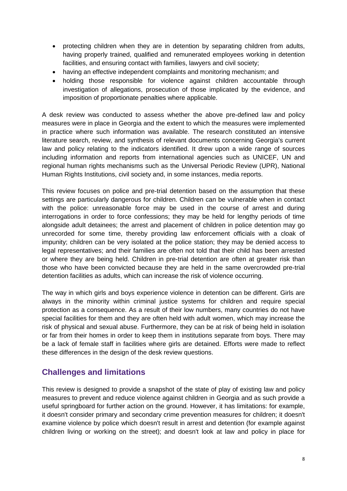- protecting children when they are in detention by separating children from adults, having properly trained, qualified and remunerated employees working in detention facilities, and ensuring contact with families, lawyers and civil society;
- having an effective independent complaints and monitoring mechanism; and
- holding those responsible for violence against children accountable through investigation of allegations, prosecution of those implicated by the evidence, and imposition of proportionate penalties where applicable.

A desk review was conducted to assess whether the above pre-defined law and policy measures were in place in Georgia and the extent to which the measures were implemented in practice where such information was available. The research constituted an intensive literature search, review, and synthesis of relevant documents concerning Georgia's current law and policy relating to the indicators identified. It drew upon a wide range of sources including information and reports from international agencies such as UNICEF, UN and regional human rights mechanisms such as the Universal Periodic Review (UPR), National Human Rights Institutions, civil society and, in some instances, media reports.

This review focuses on police and pre-trial detention based on the assumption that these settings are particularly dangerous for children. Children can be vulnerable when in contact with the police: unreasonable force may be used in the course of arrest and during interrogations in order to force confessions; they may be held for lengthy periods of time alongside adult detainees; the arrest and placement of children in police detention may go unrecorded for some time, thereby providing law enforcement officials with a cloak of impunity; children can be very isolated at the police station; they may be denied access to legal representatives; and their families are often not told that their child has been arrested or where they are being held. Children in pre-trial detention are often at greater risk than those who have been convicted because they are held in the same overcrowded pre-trial detention facilities as adults, which can increase the risk of violence occurring.

The way in which girls and boys experience violence in detention can be different. Girls are always in the minority within criminal justice systems for children and require special protection as a consequence. As a result of their low numbers, many countries do not have special facilities for them and they are often held with adult women, which may increase the risk of physical and sexual abuse. Furthermore, they can be at risk of being held in isolation or far from their homes in order to keep them in institutions separate from boys. There may be a lack of female staff in facilities where girls are detained. Efforts were made to reflect these differences in the design of the desk review questions.

## <span id="page-7-0"></span>**Challenges and limitations**

This review is designed to provide a snapshot of the state of play of existing law and policy measures to prevent and reduce violence against children in Georgia and as such provide a useful springboard for further action on the ground. However, it has limitations: for example, it doesn't consider primary and secondary crime prevention measures for children; it doesn't examine violence by police which doesn't result in arrest and detention (for example against children living or working on the street); and doesn't look at law and policy in place for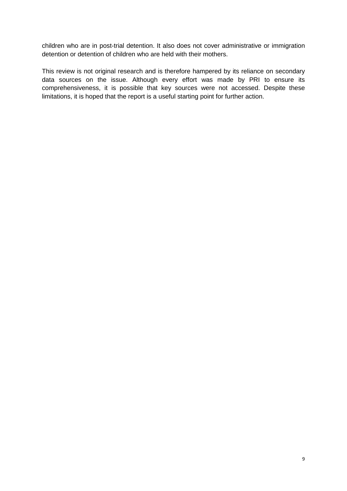children who are in post-trial detention. It also does not cover administrative or immigration detention or detention of children who are held with their mothers.

This review is not original research and is therefore hampered by its reliance on secondary data sources on the issue. Although every effort was made by PRI to ensure its comprehensiveness, it is possible that key sources were not accessed. Despite these limitations, it is hoped that the report is a useful starting point for further action.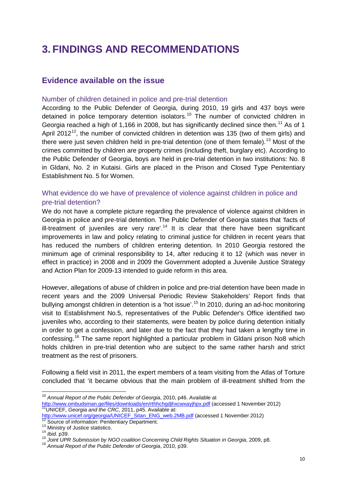# <span id="page-9-0"></span>**3. FINDINGS AND RECOMMENDATIONS**

## <span id="page-9-1"></span>**Evidence available on the issue**

#### Number of children detained in police and pre-trial detention

According to the Public Defender of Georgia, during 2010, 19 girls and 437 boys were detained in police temporary detention isolators.<sup>[10](#page-6-6)</sup> The number of convicted children in Georgia reached a high of 1,166 in 2008, but has significantly declined since then.<sup>[11](#page-9-2)</sup> As of 1 April 2012<sup>12</sup>, the number of convicted children in detention was 135 (two of them girls) and there were just seven children held in pre-trial detention (one of them female).<sup>[13](#page-9-4)</sup> Most of the crimes committed by children are property crimes (including theft, burglary etc). According to the Public Defender of Georgia, boys are held in pre-trial detention in two institutions: No. 8 in Gldani, No. 2 in Kutaisi. Girls are placed in the Prison and Closed Type Penitentiary Establishment No. 5 for Women.

## What evidence do we have of prevalence of violence against children in police and pre-trial detention?

We do not have a complete picture regarding the prevalence of violence against children in Georgia in police and pre-trial detention. The Public Defender of Georgia states that 'facts of ill-treatment of juveniles are very rare'.<sup>[14](#page-9-5)</sup> It is clear that there have been significant improvements in law and policy relating to criminal justice for children in recent years that has reduced the numbers of children entering detention. In 2010 Georgia restored the minimum age of criminal responsibility to 14, after reducing it to 12 (which was never in effect in practice) in 2008 and in 2009 the Government adopted a Juvenile Justice Strategy and Action Plan for 2009-13 intended to guide reform in this area.

However, allegations of abuse of children in police and pre-trial detention have been made in recent years and the 2009 Universal Periodic Review Stakeholders' Report finds that bullying amongst children in detention is a 'hot issue'.[15](#page-9-6) In 2010, during an ad-hoc monitoring visit to Establishment No.5, representatives of the Public Defender's Office identified two juveniles who, according to their statements, were beaten by police during detention initially in order to get a confession, and later due to the fact that they had taken a lengthy time in confessing.<sup>[16](#page-9-7)</sup> The same report highlighted a particular problem in Gldani prison No8 which holds children in pre-trial detention who are subject to the same rather harsh and strict treatment as the rest of prisoners.

Following a field visit in 2011, the expert members of a team visiting from the Atlas of Torture concluded that 'it became obvious that the main problem of ill-treatment shifted from the

<span id="page-9-8"></span> <sup>10</sup> *Annual Report of the Public Defender of Georgia*, 2010, p46. Available at <http://www.ombudsman.ge/files/downloads/en/rthhchgdjhxcwxayjhpx.pdf> (accessed 1 November 2012)<br><sup>11</sup>UNICEF, *Georgia and the CRC,* 2011, p45. Available at:<br>http://www.unicef.org/georgia/UNICEF Sitan ENG web.2MB.pdf (accesse

<span id="page-9-2"></span>

<span id="page-9-5"></span><span id="page-9-4"></span><span id="page-9-3"></span><sup>&</sup>lt;sup>13</sup> Ministry of Justice statistics.<br><sup>14</sup> Ibid. p39.<br><sup>15</sup> Joint UPR Submission by NGO coalition Concerning Child Rights Situation in Georgia, 2009, p8.<br><sup>16</sup> Annual Report of the Public Defender of Georgia, 2010, p39.

<span id="page-9-7"></span><span id="page-9-6"></span>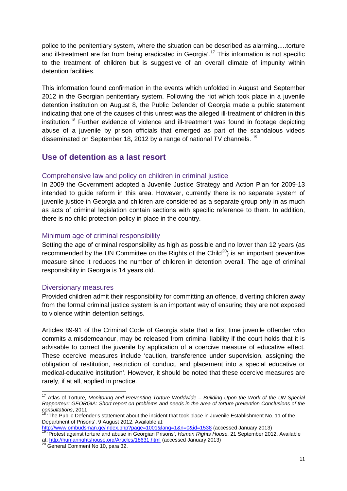police to the penitentiary system, where the situation can be described as alarming.....torture and ill-treatment are far from being eradicated in Georgia'. [17](#page-9-8) This information is not specific to the treatment of children but is suggestive of an overall climate of impunity within detention facilities.

This information found confirmation in the events which unfolded in August and September 2012 in the Georgian penitentiary system. Following the riot which took place in a juvenile detention institution on August 8, the Public Defender of Georgia made a public statement indicating that one of the causes of this unrest was the alleged ill-treatment of children in this institution.<sup>[18](#page-10-1)</sup> Further evidence of violence and ill-treatment was found in footage depicting abuse of a juvenile by prison officials that emerged as part of the scandalous videos disseminated on September 18, 2012 by a range of national TV channels. <sup>[19](#page-10-2)</sup>

## <span id="page-10-0"></span>**Use of detention as a last resort**

#### Comprehensive law and policy on children in criminal justice

In 2009 the Government adopted a Juvenile Justice Strategy and Action Plan for 2009-13 intended to guide reform in this area. However, currently there is no separate system of juvenile justice in Georgia and children are considered as a separate group only in as much as acts of criminal legislation contain sections with specific reference to them. In addition, there is no child protection policy in place in the country.

#### Minimum age of criminal responsibility

Setting the age of criminal responsibility as high as possible and no lower than 12 years (as recommended by the UN Committee on the Rights of the Child<sup>[20](#page-10-3)</sup>) is an important preventive measure since it reduces the number of children in detention overall. The age of criminal responsibility in Georgia is 14 years old.

#### Diversionary measures

Provided children admit their responsibility for committing an offence, diverting children away from the formal criminal justice system is an important way of ensuring they are not exposed to violence within detention settings.

Articles 89-91 of the Criminal Code of Georgia state that a first time juvenile offender who commits a misdemeanour, may be released from criminal liability if the court holds that it is advisable to correct the juvenile by application of a coercive measure of educative effect. These coercive measures include 'caution, transference under supervision, assigning the obligation of restitution, restriction of conduct, and placement into a special educative or medical-educative institution'. However, it should be noted that these coercive measures are rarely, if at all, applied in practice.

 <sup>17</sup> Atlas of Torture*, Monitoring and Preventing Torture Worldwide – Building Upon the Work of the UN Special Rapporteur: GEORGIA: Short report on problems and needs in the area of torture prevention Conclusions of the consultations*, 2011<br><sup>18</sup> 'The Public Defender's statement about the incident that took place in Juvenile Establishment No. 11 of the

<span id="page-10-1"></span>Department of Prisons', 9 August 2012, Available at:<br>http://www.ombudsman.ge/index.php?page=1001&lang=1&n=0&id=1538 (accessed January 2013)

<span id="page-10-4"></span><span id="page-10-2"></span><http://www.ombudsman.ge/index.php?page=1001&lang=1&n=0&id=1538> (accessed January 2013) <sup>19</sup> 'Protest against torture and abuse in Georgian Prisons', *Human Rights House,* 21 September 2012, Available at[: http://humanrightshouse.org/Articles/18631.html](http://humanrightshouse.org/Articles/18631.html) (accessed January 2013) <sup>20</sup> General Comment No 10, para 32.

<span id="page-10-3"></span>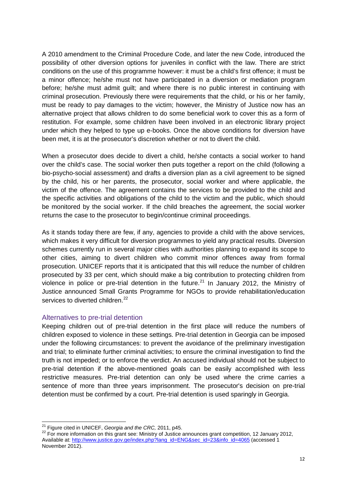A 2010 amendment to the Criminal Procedure Code, and later the new Code, introduced the possibility of other diversion options for juveniles in conflict with the law. There are strict conditions on the use of this programme however: it must be a child's first offence; it must be a minor offence; he/she must not have participated in a diversion or mediation program before; he/she must admit guilt; and where there is no public interest in continuing with criminal prosecution. Previously there were requirements that the child, or his or her family, must be ready to pay damages to the victim; however, the Ministry of Justice now has an alternative project that allows children to do some beneficial work to cover this as a form of restitution. For example, some children have been involved in an electronic library project under which they helped to type up e-books. Once the above conditions for diversion have been met, it is at the prosecutor's discretion whether or not to divert the child.

When a prosecutor does decide to divert a child, he/she contacts a social worker to hand over the child's case. The social worker then puts together a report on the child (following a bio-psycho-social assessment) and drafts a diversion plan as a civil agreement to be signed by the child, his or her parents, the prosecutor, social worker and where applicable, the victim of the offence. The agreement contains the services to be provided to the child and the specific activities and obligations of the child to the victim and the public, which should be monitored by the social worker. If the child breaches the agreement, the social worker returns the case to the prosecutor to begin/continue criminal proceedings.

As it stands today there are few, if any, agencies to provide a child with the above services, which makes it very difficult for diversion programmes to yield any practical results. Diversion schemes currently run in several major cities with authorities planning to expand its scope to other cities, aiming to divert children who commit minor offences away from formal prosecution. UNICEF reports that it is anticipated that this will reduce the number of children prosecuted by 33 per cent, which should make a big contribution to protecting children from violence in police or pre-trial detention in the future.<sup>[21](#page-10-4)</sup> In January 2012, the Ministry of Justice announced Small Grants Programme for NGOs to provide rehabilitation/education services to diverted children.<sup>[22](#page-11-0)</sup>

#### Alternatives to pre-trial detention

Keeping children out of pre-trial detention in the first place will reduce the numbers of children exposed to violence in these settings. Pre-trial detention in Georgia can be imposed under the following circumstances: to prevent the avoidance of the preliminary investigation and trial; to eliminate further criminal activities; to ensure the criminal investigation to find the truth is not impeded; or to enforce the verdict. An accused individual should not be subject to pre-trial detention if the above-mentioned goals can be easily accomplished with less restrictive measures. Pre-trial detention can only be used where the crime carries a sentence of more than three years imprisonment. The prosecutor's decision on pre-trial detention must be confirmed by a court. Pre-trial detention is used sparingly in Georgia.

<span id="page-11-1"></span><span id="page-11-0"></span><sup>&</sup>lt;sup>21</sup> Figure cited in UNICEF, *Georgia and the CRC*, 2011, p45.<br><sup>22</sup> For more information on this grant see: Ministry of Justice announces grant competition, 12 January 2012, Available at[: http://www.justice.gov.ge/index.php?lang\\_id=ENG&sec\\_id=23&info\\_id=4065](http://www.justice.gov.ge/index.php?lang_id=ENG&sec_id=23&info_id=4065) (accessed 1 November 2012).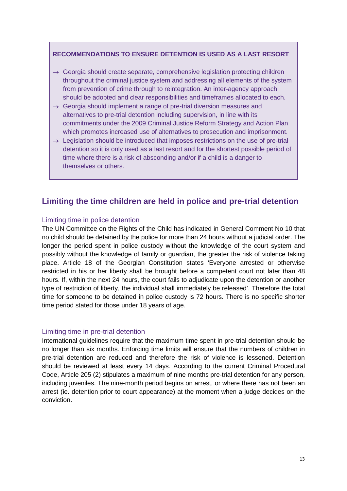#### **RECOMMENDATIONS TO ENSURE DETENTION IS USED AS A LAST RESORT**

- $\rightarrow$  Georgia should create separate, comprehensive legislation protecting children throughout the criminal justice system and addressing all elements of the system from prevention of crime through to reintegration. An inter-agency approach should be adopted and clear responsibilities and timeframes allocated to each.
- $\rightarrow$  Georgia should implement a range of pre-trial diversion measures and alternatives to pre-trial detention including supervision, in line with its commitments under the 2009 Criminal Justice Reform Strategy and Action Plan which promotes increased use of alternatives to prosecution and imprisonment.
- $\rightarrow$  Legislation should be introduced that imposes restrictions on the use of pre-trial detention so it is only used as a last resort and for the shortest possible period of time where there is a risk of absconding and/or if a child is a danger to themselves or others.

## <span id="page-12-0"></span>**Limiting the time children are held in police and pre-trial detention**

#### Limiting time in police detention

The UN Committee on the Rights of the Child has indicated in General Comment No 10 that no child should be detained by the police for more than 24 hours without a judicial order. The longer the period spent in police custody without the knowledge of the court system and possibly without the knowledge of family or guardian, the greater the risk of violence taking place. Article 18 of the Georgian Constitution states 'Everyone arrested or otherwise restricted in his or her liberty shall be brought before a competent court not later than 48 hours. If, within the next 24 hours, the court fails to adjudicate upon the detention or another type of restriction of liberty, the individual shall immediately be released'. Therefore the total time for someone to be detained in police custody is 72 hours. There is no specific shorter time period stated for those under 18 years of age.

#### Limiting time in pre-trial detention

International guidelines require that the maximum time spent in pre-trial detention should be no longer than six months. Enforcing time limits will ensure that the numbers of children in pre-trial detention are reduced and therefore the risk of violence is lessened. Detention should be reviewed at least every 14 days. According to the current Criminal Procedural Code, Article 205 (2) stipulates a maximum of nine months pre-trial detention for any person, including juveniles. The nine-month period begins on arrest, or where there has not been an arrest (ie. detention prior to court appearance) at the moment when a judge decides on the conviction.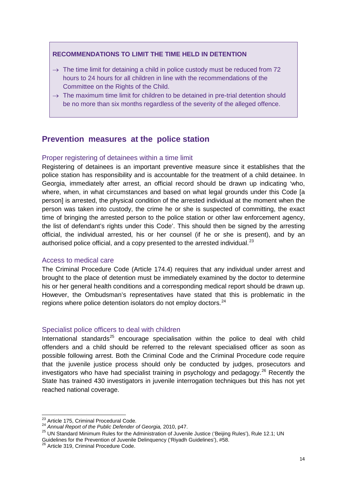#### **RECOMMENDATIONS TO LIMIT THE TIME HELD IN DETENTION**

- $\rightarrow$  The time limit for detaining a child in police custody must be reduced from 72 hours to 24 hours for all children in line with the recommendations of the Committee on the Rights of the Child.
- $\rightarrow$  The maximum time limit for children to be detained in pre-trial detention should be no more than six months regardless of the severity of the alleged offence.

## <span id="page-13-0"></span>**Prevention measures at the police station**

#### Proper registering of detainees within a time limit

Registering of detainees is an important preventive measure since it establishes that the police station has responsibility and is accountable for the treatment of a child detainee. In Georgia, immediately after arrest, an official record should be drawn up indicating 'who, where, when, in what circumstances and based on what legal grounds under this Code [a person] is arrested, the physical condition of the arrested individual at the moment when the person was taken into custody, the crime he or she is suspected of committing, the exact time of bringing the arrested person to the police station or other law enforcement agency, the list of defendant's rights under this Code'. This should then be signed by the arresting official, the individual arrested, his or her counsel (if he or she is present), and by an authorised police official, and a copy presented to the arrested individual. $^{23}$  $^{23}$  $^{23}$ 

#### Access to medical care

The Criminal Procedure Code (Article 174.4) requires that any individual under arrest and brought to the place of detention must be immediately examined by the doctor to determine his or her general health conditions and a corresponding medical report should be drawn up. However, the Ombudsman's representatives have stated that this is problematic in the regions where police detention isolators do not employ doctors.<sup>[24](#page-13-1)</sup>

#### Specialist police officers to deal with children

International standards<sup>[25](#page-13-2)</sup> encourage specialisation within the police to deal with child offenders and a child should be referred to the relevant specialised officer as soon as possible following arrest. Both the Criminal Code and the Criminal Procedure code require that the juvenile justice process should only be conducted by judges, prosecutors and investigators who have had specialist training in psychology and pedagogy.<sup>[26](#page-13-3)</sup> Recently the State has trained 430 investigators in juvenile interrogation techniques but this has not yet reached national coverage.

<span id="page-13-4"></span><span id="page-13-2"></span>Guidelines for the Prevention of Juvenile Delinquency ('Riyadh Guidelines'), #58.<br><sup>26</sup> Article 319, Criminal Procedure Code.

<span id="page-13-1"></span>

<sup>&</sup>lt;sup>23</sup> Article 175, Criminal Procedural Code.<br><sup>24</sup> *Annual Report of the Public Defender of Georgia,* 2010, p47.<br><sup>25</sup> UN Standard Minimum Rules for the Administration of Juvenile Justice ('Beijing Rules'), Rule 12.1; UN

<span id="page-13-3"></span>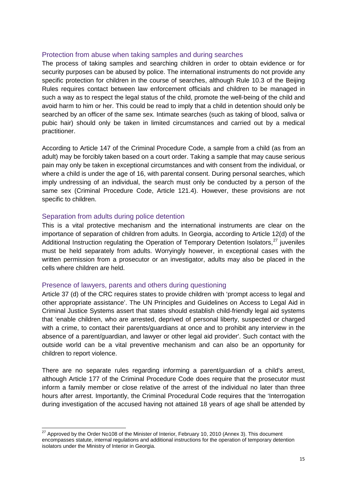#### Protection from abuse when taking samples and during searches

The process of taking samples and searching children in order to obtain evidence or for security purposes can be abused by police. The international instruments do not provide any specific protection for children in the course of searches, although Rule 10.3 of the Beijing Rules requires contact between law enforcement officials and children to be managed in such a way as to respect the legal status of the child, promote the well-being of the child and avoid harm to him or her. This could be read to imply that a child in detention should only be searched by an officer of the same sex. Intimate searches (such as taking of blood, saliva or pubic hair) should only be taken in limited circumstances and carried out by a medical practitioner.

According to Article 147 of the Criminal Procedure Code, a sample from a child (as from an adult) may be forcibly taken based on a court order. Taking a sample that may cause serious pain may only be taken in exceptional circumstances and with consent from the individual, or where a child is under the age of 16, with parental consent. During personal searches, which imply undressing of an individual, the search must only be conducted by a person of the same sex (Criminal Procedure Code, Article 121.4). However, these provisions are not specific to children.

#### Separation from adults during police detention

This is a vital protective mechanism and the international instruments are clear on the importance of separation of children from adults. In Georgia, according to Article 12(d) of the Additional Instruction regulating the Operation of Temporary Detention Isolators,<sup>[27](#page-13-4)</sup> juveniles must be held separately from adults. Worryingly however, in exceptional cases with the written permission from a prosecutor or an investigator, adults may also be placed in the cells where children are held.

#### Presence of lawyers, parents and others during questioning

Article 37 (d) of the CRC requires states to provide children with 'prompt access to legal and other appropriate assistance'. The UN Principles and Guidelines on Access to Legal Aid in Criminal Justice Systems assert that states should establish child-friendly legal aid systems that 'enable children, who are arrested, deprived of personal liberty, suspected or charged with a crime, to contact their parents/guardians at once and to prohibit any interview in the absence of a parent/guardian, and lawyer or other legal aid provider'. Such contact with the outside world can be a vital preventive mechanism and can also be an opportunity for children to report violence.

There are no separate rules regarding informing a parent/guardian of a child's arrest, although Article 177 of the Criminal Procedure Code does require that the prosecutor must inform a family member or close relative of the arrest of the individual no later than three hours after arrest. Importantly, the Criminal Procedural Code requires that the 'Interrogation during investigation of the accused having not attained 18 years of age shall be attended by

<span id="page-14-0"></span><sup>&</sup>lt;sup>27</sup> Approved by the Order No108 of the Minister of Interior, February 10, 2010 (Annex 3). This document encompasses statute, internal regulations and additional instructions for the operation of temporary detention isolators under the Ministry of Interior in Georgia.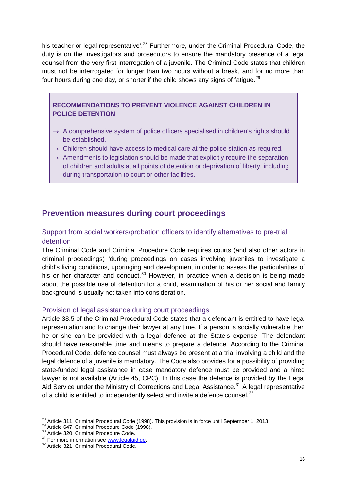his teacher or legal representative'.<sup>[28](#page-14-0)</sup> Furthermore, under the Criminal Procedural Code, the duty is on the investigators and prosecutors to ensure the mandatory presence of a legal counsel from the very first interrogation of a juvenile. The Criminal Code states that children must not be interrogated for longer than two hours without a break, and for no more than four hours during one day, or shorter if the child shows any signs of fatigue.<sup>[29](#page-15-1)</sup>

#### **RECOMMENDATIONS TO PREVENT VIOLENCE AGAINST CHILDREN IN POLICE DETENTION**

- $\rightarrow$  A comprehensive system of police officers specialised in children's rights should be established.
- $\rightarrow$  Children should have access to medical care at the police station as required.
- $\rightarrow$  Amendments to legislation should be made that explicitly require the separation of children and adults at all points of detention or deprivation of liberty, including during transportation to court or other facilities.

## <span id="page-15-0"></span>**Prevention measures during court proceedings**

## Support from social workers/probation officers to identify alternatives to pre-trial detention

The Criminal Code and Criminal Procedure Code requires courts (and also other actors in criminal proceedings) 'during proceedings on cases involving juveniles to investigate a child's living conditions, upbringing and development in order to assess the particularities of his or her character and conduct.<sup>[30](#page-15-2)</sup> However, in practice when a decision is being made about the possible use of detention for a child, examination of his or her social and family background is usually not taken into consideration.

#### Provision of legal assistance during court proceedings

Article 38.5 of the Criminal Procedural Code states that a defendant is entitled to have legal representation and to change their lawyer at any time. If a person is socially vulnerable then he or she can be provided with a legal defence at the State's expense. The defendant should have reasonable time and means to prepare a defence. According to the Criminal Procedural Code, defence counsel must always be present at a trial involving a child and the legal defence of a juvenile is mandatory. The Code also provides for a possibility of providing state-funded legal assistance in case mandatory defence must be provided and a hired lawyer is not available (Article 45, CPC). In this case the defence is provided by the Legal Aid Service under the Ministry of Corrections and Legal Assistance.<sup>[31](#page-15-3)</sup> A legal representative of a child is entitled to independently select and invite a defence counsel.<sup>[32](#page-15-4)</sup>

<span id="page-15-1"></span><sup>&</sup>lt;sup>28</sup> Article 311, Criminal Procedural Code (1998). This provision is in force until September 1, 2013.<br><sup>29</sup> Article 647, Criminal Procedure Code (1998).<br><sup>30</sup> Article 320, Criminal Procedure Code.<br><sup>31</sup> For more information

<span id="page-15-5"></span>

<span id="page-15-2"></span>

<span id="page-15-3"></span>

<span id="page-15-4"></span>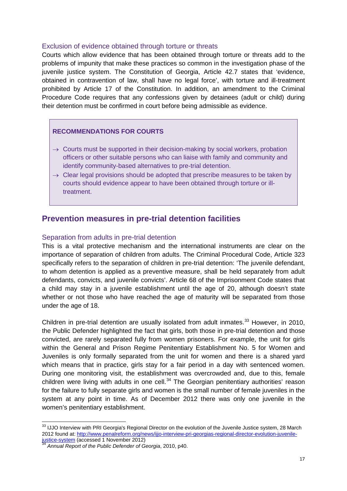#### Exclusion of evidence obtained through torture or threats

Courts which allow evidence that has been obtained through torture or threats add to the problems of impunity that make these practices so common in the investigation phase of the juvenile justice system. The Constitution of Georgia, Article 42.7 states that 'evidence, obtained in contravention of law, shall have no legal force', with torture and ill-treatment prohibited by Article 17 of the Constitution. In addition, an amendment to the Criminal Procedure Code requires that any confessions given by detainees (adult or child) during their detention must be confirmed in court before being admissible as evidence.

## **RECOMMENDATIONS FOR COURTS**

- $\rightarrow$  Courts must be supported in their decision-making by social workers, probation officers or other suitable persons who can liaise with family and community and identify community-based alternatives to pre-trial detention.
- $\rightarrow$  Clear legal provisions should be adopted that prescribe measures to be taken by courts should evidence appear to have been obtained through torture or illtreatment.

## <span id="page-16-0"></span>**Prevention measures in pre-trial detention facilities**

#### Separation from adults in pre-trial detention

This is a vital protective mechanism and the international instruments are clear on the importance of separation of children from adults. The Criminal Procedural Code, Article 323 specifically refers to the separation of children in pre-trial detention: 'The juvenile defendant, to whom detention is applied as a preventive measure, shall be held separately from adult defendants, convicts, and juvenile convicts'. Article 68 of the Imprisonment Code states that a child may stay in a juvenile establishment until the age of 20, although doesn't state whether or not those who have reached the age of maturity will be separated from those under the age of 18.

Children in pre-trial detention are usually isolated from adult inmates.<sup>[33](#page-15-5)</sup> However, in 2010, the Public Defender highlighted the fact that girls, both those in pre-trial detention and those convicted, are rarely separated fully from women prisoners. For example, the unit for girls within the General and Prison Regime Penitentiary Establishment No. 5 for Women and Juveniles is only formally separated from the unit for women and there is a shared yard which means that in practice, girls stay for a fair period in a day with sentenced women. During one monitoring visit, the establishment was overcrowded and, due to this, female children were living with adults in one cell. $34$  The Georgian penitentiary authorities' reason for the failure to fully separate girls and women is the small number of female juveniles in the system at any point in time. As of December 2012 there was only one juvenile in the women's penitentiary establishment.

<span id="page-16-2"></span><sup>33</sup> IJJO Interview with PRI Georgia's Regional Director on the evolution of the Juvenile Justice system, 28 March 2012 found at: [http://www.penalreform.org/news/ijjo-interview-pri-georgias-regional-director-evolution-juvenile](http://www.penalreform.org/news/ijjo-interview-pri-georgias-regional-director-evolution-juvenile-justice-system)[justice-system](http://www.penalreform.org/news/ijjo-interview-pri-georgias-regional-director-evolution-juvenile-justice-system) (accessed 1 November 2012) <sup>34</sup> *Annual Report of the Public Defender of Georgia*, 2010, p40.

<span id="page-16-1"></span>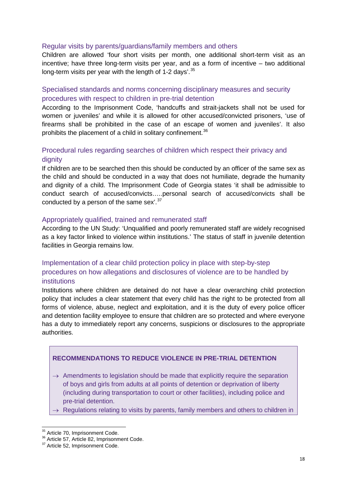#### Regular visits by parents/guardians/family members and others

Children are allowed 'four short visits per month, one additional short-term visit as an incentive; have three long-term visits per year, and as a form of incentive – two additional long-term visits per year with the length of 1-2 days'.<sup>[35](#page-16-2)</sup>

## Specialised standards and norms concerning disciplinary measures and security procedures with respect to children in pre-trial detention

According to the Imprisonment Code, 'handcuffs and strait-jackets shall not be used for women or juveniles' and while it is allowed for other accused/convicted prisoners, 'use of firearms shall be prohibited in the case of an escape of women and juveniles'. It also prohibits the placement of a child in solitary confinement.<sup>[36](#page-17-0)</sup>

## Procedural rules regarding searches of children which respect their privacy and dignity

If children are to be searched then this should be conducted by an officer of the same sex as the child and should be conducted in a way that does not humiliate, degrade the humanity and dignity of a child. The Imprisonment Code of Georgia states 'it shall be admissible to conduct search of accused/convicts…..personal search of accused/convicts shall be conducted by a person of the same sex'.<sup>[37](#page-17-1)</sup>

#### Appropriately qualified, trained and remunerated staff

According to the UN Study: 'Unqualified and poorly remunerated staff are widely recognised as a key factor linked to violence within institutions.' The status of staff in juvenile detention facilities in Georgia remains low.

## Implementation of a clear child protection policy in place with step-by-step procedures on how allegations and disclosures of violence are to be handled by institutions

Institutions where children are detained do not have a clear overarching child protection policy that includes a clear statement that every child has the right to be protected from all forms of violence, abuse, neglect and exploitation, and it is the duty of every police officer and detention facility employee to ensure that children are so protected and where everyone has a duty to immediately report any concerns, suspicions or disclosures to the appropriate authorities.

#### **RECOMMENDATIONS TO REDUCE VIOLENCE IN PRE-TRIAL DETENTION**

- $\rightarrow$  Amendments to legislation should be made that explicitly require the separation of boys and girls from adults at all points of detention or deprivation of liberty (including during transportation to court or other facilities), including police and pre-trial detention.
- $\rightarrow$  Regulations relating to visits by parents, family members and others to children in

<span id="page-17-2"></span><span id="page-17-0"></span><sup>&</sup>lt;sup>35</sup> Article 70, Imprisonment Code.<br><sup>36</sup> Article 57, Article 82, Imprisonment Code.<br><sup>37</sup> Article 52, Imprisonment Code.

<span id="page-17-1"></span>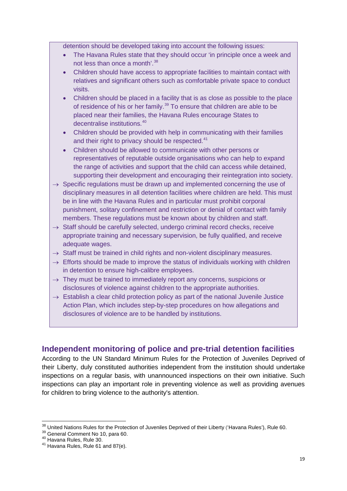detention should be developed taking into account the following issues:

- The Havana Rules state that they should occur 'in principle once a week and not less than once a month'.<sup>[38](#page-17-2)</sup>
- Children should have access to appropriate facilities to maintain contact with relatives and significant others such as comfortable private space to conduct visits.
- Children should be placed in a facility that is as close as possible to the place of residence of his or her family.<sup>[39](#page-18-1)</sup> To ensure that children are able to be placed near their families, the Havana Rules encourage States to decentralise institutions.<sup>[40](#page-18-2)</sup>
- Children should be provided with help in communicating with their families and their right to privacy should be respected.<sup>[41](#page-18-3)</sup>
- Children should be allowed to communicate with other persons or representatives of reputable outside organisations who can help to expand the range of activities and support that the child can access while detained, supporting their development and encouraging their reintegration into society.
- $\rightarrow$  Specific regulations must be drawn up and implemented concerning the use of disciplinary measures in all detention facilities where children are held. This must be in line with the Havana Rules and in particular must prohibit corporal punishment, solitary confinement and restriction or denial of contact with family members. These regulations must be known about by children and staff.
- $\rightarrow$  Staff should be carefully selected, undergo criminal record checks, receive appropriate training and necessary supervision, be fully qualified, and receive adequate wages.
- $\rightarrow$  Staff must be trained in child rights and non-violent disciplinary measures.
- $\rightarrow$  Efforts should be made to improve the status of individuals working with children in detention to ensure high-calibre employees.
- $\rightarrow$  They must be trained to immediately report any concerns, suspicions or disclosures of violence against children to the appropriate authorities.
- $\rightarrow$  Establish a clear child protection policy as part of the national Juvenile Justice Action Plan, which includes step-by-step procedures on how allegations and disclosures of violence are to be handled by institutions.

## <span id="page-18-0"></span>**Independent monitoring of police and pre-trial detention facilities**

According to the UN Standard Minimum Rules for the Protection of Juveniles Deprived of their Liberty, duly constituted authorities independent from the institution should undertake inspections on a regular basis, with unannounced inspections on their own initiative. Such inspections can play an important role in preventing violence as well as providing avenues for children to bring violence to the authority's attention.

<span id="page-18-4"></span><span id="page-18-1"></span><sup>&</sup>lt;sup>38</sup> United Nations Rules for the Protection of Juveniles Deprived of their Liberty ('Havana Rules'), Rule 60.<br><sup>39</sup> General Comment No 10, para 60.<br><sup>40</sup> Havana Rules, Rule 30.<br><sup>41</sup> Havana Rules. Rule 61 and 87(e).

<span id="page-18-2"></span>

<span id="page-18-3"></span>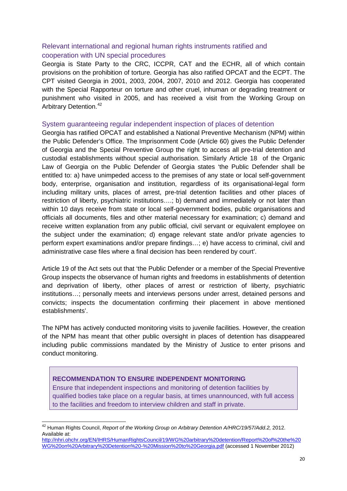## Relevant international and regional human rights instruments ratified and cooperation with UN special procedures

Georgia is State Party to the CRC, ICCPR, CAT and the ECHR, all of which contain provisions on the prohibition of torture. Georgia has also ratified OPCAT and the ECPT. The CPT visited Georgia in 2001, 2003, 2004, 2007, 2010 and 2012. Georgia has cooperated with the Special Rapporteur on torture and other cruel, inhuman or degrading treatment or punishment who visited in 2005, and has received a visit from the Working Group on Arbitrary Detention.<sup>[42](#page-18-4)</sup>

#### System guaranteeing regular independent inspection of places of detention

Georgia has ratified OPCAT and established a National Preventive Mechanism (NPM) within the Public Defender's Office. The Imprisonment Code (Article 60) gives the Public Defender of Georgia and the Special Preventive Group the right to access all pre-trial detention and custodial establishments without special authorisation. Similarly Article 18 of the Organic Law of Georgia on the Public Defender of Georgia states 'the Public Defender shall be entitled to: a) have unimpeded access to the premises of any state or local self-government body, enterprise, organisation and institution, regardless of its organisational-legal form including military units, places of arrest, pre-trial detention facilities and other places of restriction of liberty, psychiatric institutions….; b) demand and immediately or not later than within 10 days receive from state or local self-government bodies, public organisations and officials all documents, files and other material necessary for examination; c) demand and receive written explanation from any public official, civil servant or equivalent employee on the subject under the examination; d) engage relevant state and/or private agencies to perform expert examinations and/or prepare findings…; e) have access to criminal, civil and administrative case files where a final decision has been rendered by court'.

Article 19 of the Act sets out that 'the Public Defender or a member of the Special Preventive Group inspects the observance of human rights and freedoms in establishments of detention and deprivation of liberty, other places of arrest or restriction of liberty, psychiatric institutions…; personally meets and interviews persons under arrest, detained persons and convicts; inspects the documentation confirming their placement in above mentioned establishments'.

The NPM has actively conducted monitoring visits to juvenile facilities. However, the creation of the NPM has meant that other public oversight in places of detention has disappeared including public commissions mandated by the Ministry of Justice to enter prisons and conduct monitoring.

#### **RECOMMENDATION TO ENSURE INDEPENDENT MONITORING**

Ensure that independent inspections and monitoring of detention facilities by qualified bodies take place on a regular basis, at times unannounced, with full access to the facilities and freedom to interview children and staff in private.

 <sup>42</sup> Human Rights Council, *Report of the Working Group on Arbitrary Detention A/HRC/19/57/Add.2,* 2012. Available at:

<span id="page-19-0"></span>[http://nhri.ohchr.org/EN/IHRS/HumanRightsCouncil/19/WG%20arbitrary%20detention/Report%20of%20the%20](http://nhri.ohchr.org/EN/IHRS/HumanRightsCouncil/19/WG%20arbitrary%20detention/Report%20of%20the%20WG%20on%20Arbitrary%20Detention%20-%20Mission%20to%20Georgia.pdf) [WG%20on%20Arbitrary%20Detention%20-%20Mission%20to%20Georgia.pdf](http://nhri.ohchr.org/EN/IHRS/HumanRightsCouncil/19/WG%20arbitrary%20detention/Report%20of%20the%20WG%20on%20Arbitrary%20Detention%20-%20Mission%20to%20Georgia.pdf) (accessed 1 November 2012)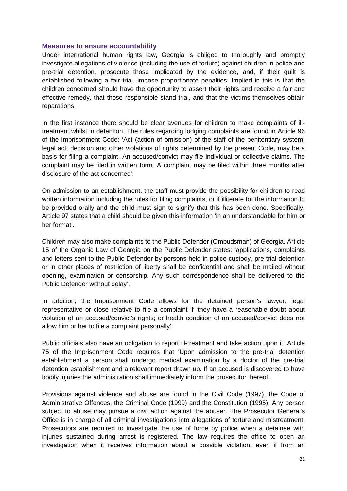#### **Measures to ensure accountability**

Under international human rights law, Georgia is obliged to thoroughly and promptly investigate allegations of violence (including the use of torture) against children in police and pre-trial detention, prosecute those implicated by the evidence, and, if their guilt is established following a fair trial, impose proportionate penalties. Implied in this is that the children concerned should have the opportunity to assert their rights and receive a fair and effective remedy, that those responsible stand trial, and that the victims themselves obtain reparations.

In the first instance there should be clear avenues for children to make complaints of illtreatment whilst in detention. The rules regarding lodging complaints are found in Article 96 of the Imprisonment Code: 'Act (action of omission) of the staff of the penitentiary system, legal act, decision and other violations of rights determined by the present Code, may be a basis for filing a complaint. An accused/convict may file individual or collective claims. The complaint may be filed in written form. A complaint may be filed within three months after disclosure of the act concerned'.

On admission to an establishment, the staff must provide the possibility for children to read written information including the rules for filing complaints, or if illiterate for the information to be provided orally and the child must sign to signify that this has been done. Specifically, Article 97 states that a child should be given this information 'in an understandable for him or her format'.

Children may also make complaints to the Public Defender (Ombudsman) of Georgia. Article 15 of the Organic Law of Georgia on the Public Defender states: 'applications, complaints and letters sent to the Public Defender by persons held in police custody, pre-trial detention or in other places of restriction of liberty shall be confidential and shall be mailed without opening, examination or censorship. Any such correspondence shall be delivered to the Public Defender without delay'.

In addition, the Imprisonment Code allows for the detained person's lawyer, legal representative or close relative to file a complaint if 'they have a reasonable doubt about violation of an accused/convict's rights; or health condition of an accused/convict does not allow him or her to file a complaint personally'.

Public officials also have an obligation to report ill-treatment and take action upon it. Article 75 of the Imprisonment Code requires that 'Upon admission to the pre-trial detention establishment a person shall undergo medical examination by a doctor of the pre-trial detention establishment and a relevant report drawn up. If an accused is discovered to have bodily injuries the administration shall immediately inform the prosecutor thereof'.

Provisions against violence and abuse are found in the Civil Code (1997), the Code of Administrative Offences, the Criminal Code (1999) and the Constitution (1995). Any person subject to abuse may pursue a civil action against the abuser. The Prosecutor General's Office is in charge of all criminal investigations into allegations of torture and mistreatment. Prosecutors are required to investigate the use of force by police when a detainee with injuries sustained during arrest is registered. The law requires the office to open an investigation when it receives information about a possible violation, even if from an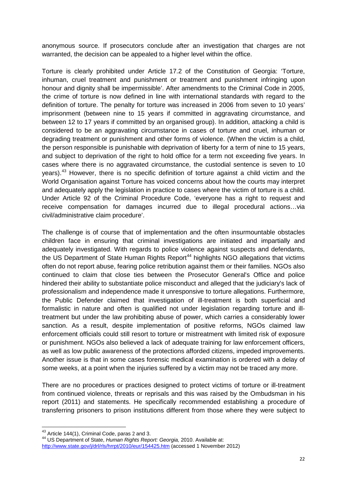anonymous source. If prosecutors conclude after an investigation that charges are not warranted, the decision can be appealed to a higher level within the office.

Torture is clearly prohibited under Article 17.2 of the Constitution of Georgia: 'Torture, inhuman, cruel treatment and punishment or treatment and punishment infringing upon honour and dignity shall be impermissible'. After amendments to the Criminal Code in 2005, the crime of torture is now defined in line with international standards with regard to the definition of torture. The penalty for torture was increased in 2006 from seven to 10 years' imprisonment (between nine to 15 years if committed in aggravating circumstance, and between 12 to 17 years if committed by an organised group). In addition, attacking a child is considered to be an aggravating circumstance in cases of torture and cruel, inhuman or degrading treatment or punishment and other forms of violence. (When the victim is a child, the person responsible is punishable with deprivation of liberty for a term of nine to 15 years, and subject to deprivation of the right to hold office for a term not exceeding five years. In cases where there is no aggravated circumstance, the custodial sentence is seven to 10 years).[43](#page-19-0) However, there is no specific definition of torture against a child victim and the World Organisation against Torture has voiced concerns about how the courts may interpret and adequately apply the legislation in practice to cases where the victim of torture is a child. Under Article 92 of the Criminal Procedure Code, 'everyone has a right to request and receive compensation for damages incurred due to illegal procedural actions…via civil/administrative claim procedure'.

The challenge is of course that of implementation and the often insurmountable obstacles children face in ensuring that criminal investigations are initiated and impartially and adequately investigated. With regards to police violence against suspects and defendants, the US Department of State Human Rights Report<sup>[44](#page-21-0)</sup> highlights NGO allegations that victims often do not report abuse, fearing police retribution against them or their families. NGOs also continued to claim that close ties between the Prosecutor General's Office and police hindered their ability to substantiate police misconduct and alleged that the judiciary's lack of professionalism and independence made it unresponsive to torture allegations. Furthermore, the Public Defender claimed that investigation of ill-treatment is both superficial and formalistic in nature and often is qualified not under legislation regarding torture and illtreatment but under the law prohibiting abuse of power, which carries a considerably lower sanction. As a result, despite implementation of positive reforms, NGOs claimed law enforcement officials could still resort to torture or mistreatment with limited risk of exposure or punishment. NGOs also believed a lack of adequate training for law enforcement officers, as well as low public awareness of the protections afforded citizens, impeded improvements. Another issue is that in some cases forensic medical examination is ordered with a delay of some weeks, at a point when the injuries suffered by a victim may not be traced any more.

There are no procedures or practices designed to protect victims of torture or ill-treatment from continued violence, threats or reprisals and this was raised by the Ombudsman in his report (2011) and statements. He specifically recommended establishing a procedure of transferring prisoners to prison institutions different from those where they were subject to

<span id="page-21-1"></span><span id="page-21-0"></span><sup>&</sup>lt;sup>43</sup> Article 144(1), Criminal Code, paras 2 and 3.<br><sup>44</sup> US Department of State, *Human Rights Report: Georgia*, 2010. Available at: <http://www.state.gov/j/drl/rls/hrrpt/2010/eur/154425.htm> (accessed 1 November 2012)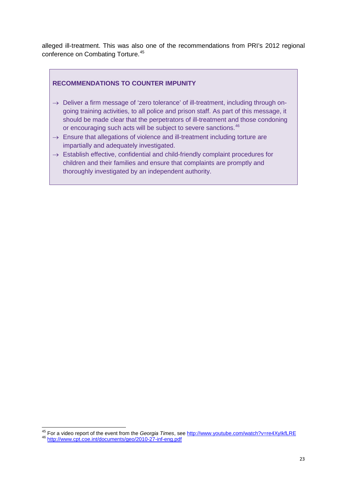alleged ill-treatment. This was also one of the recommendations from PRI's 2012 regional conference on Combating Torture.[45](#page-21-1)

#### <span id="page-22-0"></span>**RECOMMENDATIONS TO COUNTER IMPUNITY**

- $\rightarrow$  Deliver a firm message of 'zero tolerance' of ill-treatment, including through ongoing training activities, to all police and prison staff. As part of this message, it should be made clear that the perpetrators of ill-treatment and those condoning or encouraging such acts will be subject to severe sanctions.<sup>[46](#page-22-1)</sup>
- $\rightarrow$  Ensure that allegations of violence and ill-treatment including torture are impartially and adequately investigated.
- $\rightarrow$  Establish effective, confidential and child-friendly complaint procedures for children and their families and ensure that complaints are promptly and thoroughly investigated by an independent authority.

<span id="page-22-2"></span><span id="page-22-1"></span><sup>45</sup> For a video report of the event from the *Georgia Times*, see<http://www.youtube.com/watch?v=re4XyIkfLRE> <sup>46</sup> <http://www.cpt.coe.int/documents/geo/2010-27-inf-eng.pdf>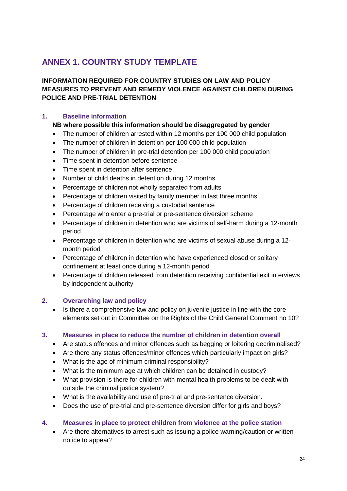## <span id="page-23-0"></span>**ANNEX 1. COUNTRY STUDY TEMPLATE**

## **INFORMATION REQUIRED FOR COUNTRY STUDIES ON LAW AND POLICY MEASURES TO PREVENT AND REMEDY VIOLENCE AGAINST CHILDREN DURING POLICE AND PRE-TRIAL DETENTION**

### **1. Baseline information**

#### **NB where possible this information should be disaggregated by gender**

- The number of children arrested within 12 months per 100 000 child population
- The number of children in detention per 100 000 child population
- The number of children in pre-trial detention per 100 000 child population
- Time spent in detention before sentence
- Time spent in detention after sentence
- Number of child deaths in detention during 12 months
- Percentage of children not wholly separated from adults
- Percentage of children visited by family member in last three months
- Percentage of children receiving a custodial sentence
- Percentage who enter a pre-trial or pre-sentence diversion scheme
- Percentage of children in detention who are victims of self-harm during a 12-month period
- Percentage of children in detention who are victims of sexual abuse during a 12 month period
- Percentage of children in detention who have experienced closed or solitary confinement at least once during a 12-month period
- Percentage of children released from detention receiving confidential exit interviews by independent authority

#### **2. Overarching law and policy**

• Is there a comprehensive law and policy on juvenile justice in line with the core elements set out in Committee on the Rights of the Child General Comment no 10?

#### **3. Measures in place to reduce the number of children in detention overall**

- Are status offences and minor offences such as begging or loitering decriminalised?
- Are there any status offences/minor offences which particularly impact on girls?
- What is the age of minimum criminal responsibility?
- What is the minimum age at which children can be detained in custody?
- What provision is there for children with mental health problems to be dealt with outside the criminal justice system?
- What is the availability and use of pre-trial and pre-sentence diversion.
- Does the use of pre-trial and pre-sentence diversion differ for girls and boys?

#### **4. Measures in place to protect children from violence at the police station**

• Are there alternatives to arrest such as issuing a police warning/caution or written notice to appear?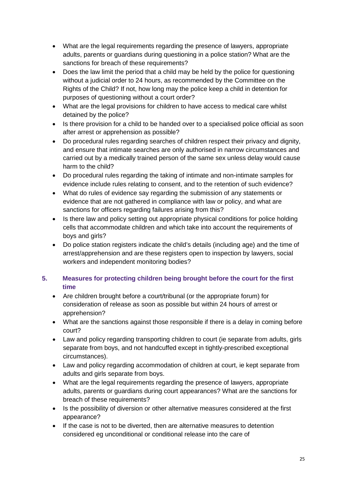- What are the legal requirements regarding the presence of lawyers, appropriate adults, parents or guardians during questioning in a police station? What are the sanctions for breach of these requirements?
- Does the law limit the period that a child may be held by the police for questioning without a judicial order to 24 hours, as recommended by the Committee on the Rights of the Child? If not, how long may the police keep a child in detention for purposes of questioning without a court order?
- What are the legal provisions for children to have access to medical care whilst detained by the police?
- Is there provision for a child to be handed over to a specialised police official as soon after arrest or apprehension as possible?
- Do procedural rules regarding searches of children respect their privacy and dignity, and ensure that intimate searches are only authorised in narrow circumstances and carried out by a medically trained person of the same sex unless delay would cause harm to the child?
- Do procedural rules regarding the taking of intimate and non-intimate samples for evidence include rules relating to consent, and to the retention of such evidence?
- What do rules of evidence say regarding the submission of any statements or evidence that are not gathered in compliance with law or policy, and what are sanctions for officers regarding failures arising from this?
- Is there law and policy setting out appropriate physical conditions for police holding cells that accommodate children and which take into account the requirements of boys and girls?
- Do police station registers indicate the child's details (including age) and the time of arrest/apprehension and are these registers open to inspection by lawyers, social workers and independent monitoring bodies?

## **5. Measures for protecting children being brought before the court for the first time**

- Are children brought before a court/tribunal (or the appropriate forum) for consideration of release as soon as possible but within 24 hours of arrest or apprehension?
- What are the sanctions against those responsible if there is a delay in coming before court?
- Law and policy regarding transporting children to court (ie separate from adults, girls separate from boys, and not handcuffed except in tightly-prescribed exceptional circumstances).
- Law and policy regarding accommodation of children at court, ie kept separate from adults and girls separate from boys.
- What are the legal requirements regarding the presence of lawyers, appropriate adults, parents or guardians during court appearances? What are the sanctions for breach of these requirements?
- Is the possibility of diversion or other alternative measures considered at the first appearance?
- If the case is not to be diverted, then are alternative measures to detention considered eg unconditional or conditional release into the care of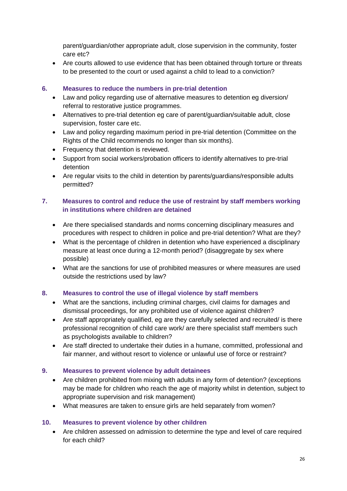parent/guardian/other appropriate adult, close supervision in the community, foster care etc?

• Are courts allowed to use evidence that has been obtained through torture or threats to be presented to the court or used against a child to lead to a conviction?

#### **6. Measures to reduce the numbers in pre-trial detention**

- Law and policy regarding use of alternative measures to detention eg diversion/ referral to restorative justice programmes.
- Alternatives to pre-trial detention eg care of parent/guardian/suitable adult, close supervision, foster care etc.
- Law and policy regarding maximum period in pre-trial detention (Committee on the Rights of the Child recommends no longer than six months).
- Frequency that detention is reviewed.
- Support from social workers/probation officers to identify alternatives to pre-trial detention
- Are regular visits to the child in detention by parents/guardians/responsible adults permitted?

#### **7. Measures to control and reduce the use of restraint by staff members working in institutions where children are detained**

- Are there specialised standards and norms concerning disciplinary measures and procedures with respect to children in police and pre-trial detention? What are they?
- What is the percentage of children in detention who have experienced a disciplinary measure at least once during a 12-month period? (disaggregate by sex where possible)
- What are the sanctions for use of prohibited measures or where measures are used outside the restrictions used by law?

#### **8. Measures to control the use of illegal violence by staff members**

- What are the sanctions, including criminal charges, civil claims for damages and dismissal proceedings, for any prohibited use of violence against children?
- Are staff appropriately qualified, eg are they carefully selected and recruited/ is there professional recognition of child care work/ are there specialist staff members such as psychologists available to children?
- Are staff directed to undertake their duties in a humane, committed, professional and fair manner, and without resort to violence or unlawful use of force or restraint?

#### **9. Measures to prevent violence by adult detainees**

- Are children prohibited from mixing with adults in any form of detention? (exceptions may be made for children who reach the age of majority whilst in detention, subject to appropriate supervision and risk management)
- What measures are taken to ensure girls are held separately from women?

#### **10. Measures to prevent violence by other children**

• Are children assessed on admission to determine the type and level of care required for each child?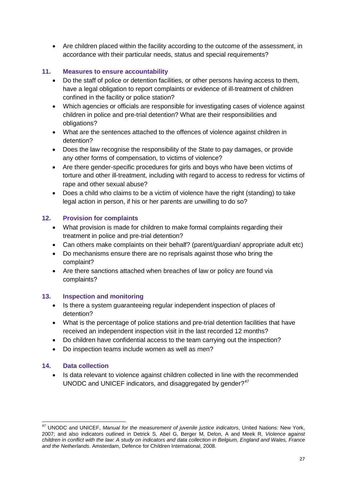• Are children placed within the facility according to the outcome of the assessment, in accordance with their particular needs, status and special requirements?

### **11. Measures to ensure accountability**

- Do the staff of police or detention facilities, or other persons having access to them, have a legal obligation to report complaints or evidence of ill-treatment of children confined in the facility or police station?
- Which agencies or officials are responsible for investigating cases of violence against children in police and pre-trial detention? What are their responsibilities and obligations?
- What are the sentences attached to the offences of violence against children in detention?
- Does the law recognise the responsibility of the State to pay damages, or provide any other forms of compensation, to victims of violence?
- Are there gender-specific procedures for girls and boys who have been victims of torture and other ill-treatment, including with regard to access to redress for victims of rape and other sexual abuse?
- Does a child who claims to be a victim of violence have the right (standing) to take legal action in person, if his or her parents are unwilling to do so?

### **12. Provision for complaints**

- What provision is made for children to make formal complaints regarding their treatment in police and pre-trial detention?
- Can others make complaints on their behalf? (parent/guardian/ appropriate adult etc)
- Do mechanisms ensure there are no reprisals against those who bring the complaint?
- Are there sanctions attached when breaches of law or policy are found via complaints?

#### **13. Inspection and monitoring**

- Is there a system guaranteeing regular independent inspection of places of detention?
- What is the percentage of police stations and pre-trial detention facilities that have received an independent inspection visit in the last recorded 12 months?
- Do children have confidential access to the team carrying out the inspection?
- Do inspection teams include women as well as men?

#### **14. Data collection**

• Is data relevant to violence against children collected in line with the recommended UNODC and UNICEF indicators, and disaggregated by gender? $47$ 

 <sup>47</sup> UNODC and UNICEF, *Manual for the measurement of juvenile justice indicators*, United Nations: New York, 2007; and also indicators outlined in Detrick S, Abel G, Berger M, Delon, A and Meek R, *Violence against children in conflict with the law: A study on indicators and data collection in Belgium, England and Wales, France and the Netherlands*. Amsterdam, Defence for Children International, 2008.